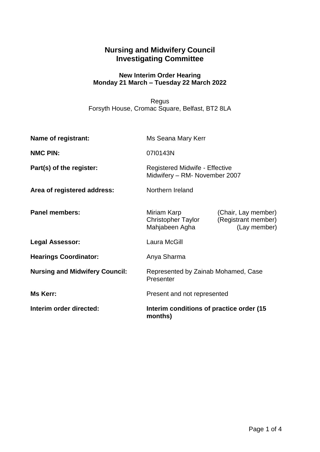## **Nursing and Midwifery Council Investigating Committee**

## **New Interim Order Hearing Monday 21 March – Tuesday 22 March 2022**

Regus Forsyth House, Cromac Square, Belfast, BT2 8LA

| Interim order directed:               | Interim conditions of practice order (15)<br>months)            |                                                            |
|---------------------------------------|-----------------------------------------------------------------|------------------------------------------------------------|
| Ms Kerr:                              | Present and not represented                                     |                                                            |
| <b>Nursing and Midwifery Council:</b> | Represented by Zainab Mohamed, Case<br>Presenter                |                                                            |
| <b>Hearings Coordinator:</b>          | Anya Sharma                                                     |                                                            |
| <b>Legal Assessor:</b>                | Laura McGill                                                    |                                                            |
| <b>Panel members:</b>                 | Miriam Karp<br>Christopher Taylor<br>Mahjabeen Agha             | (Chair, Lay member)<br>(Registrant member)<br>(Lay member) |
| Area of registered address:           | Northern Ireland                                                |                                                            |
| Part(s) of the register:              | Registered Midwife - Effective<br>Midwifery - RM- November 2007 |                                                            |
| <b>NMC PIN:</b>                       | 0710143N                                                        |                                                            |
| Name of registrant:                   | Ms Seana Mary Kerr                                              |                                                            |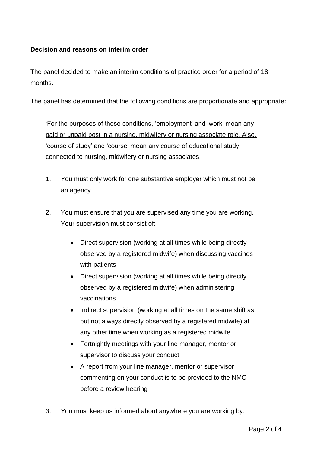## **Decision and reasons on interim order**

The panel decided to make an interim conditions of practice order for a period of 18 months.

The panel has determined that the following conditions are proportionate and appropriate:

'For the purposes of these conditions, 'employment' and 'work' mean any paid or unpaid post in a nursing, midwifery or nursing associate role. Also, 'course of study' and 'course' mean any course of educational study connected to nursing, midwifery or nursing associates.

- 1. You must only work for one substantive employer which must not be an agency
- 2. You must ensure that you are supervised any time you are working. Your supervision must consist of:
	- Direct supervision (working at all times while being directly observed by a registered midwife) when discussing vaccines with patients
	- Direct supervision (working at all times while being directly observed by a registered midwife) when administering vaccinations
	- Indirect supervision (working at all times on the same shift as, but not always directly observed by a registered midwife) at any other time when working as a registered midwife
	- Fortnightly meetings with your line manager, mentor or supervisor to discuss your conduct
	- A report from your line manager, mentor or supervisor commenting on your conduct is to be provided to the NMC before a review hearing
- 3. You must keep us informed about anywhere you are working by: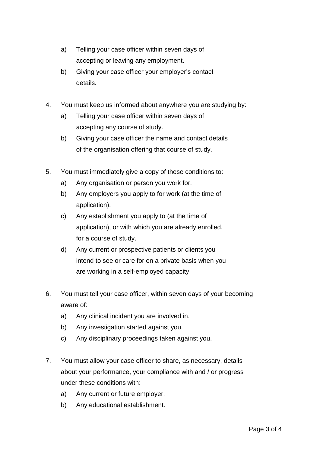- a) Telling your case officer within seven days of accepting or leaving any employment.
- b) Giving your case officer your employer's contact details.
- 4. You must keep us informed about anywhere you are studying by:
	- a) Telling your case officer within seven days of accepting any course of study.
	- b) Giving your case officer the name and contact details of the organisation offering that course of study.
- 5. You must immediately give a copy of these conditions to:
	- a) Any organisation or person you work for.
	- b) Any employers you apply to for work (at the time of application).
	- c) Any establishment you apply to (at the time of application), or with which you are already enrolled, for a course of study.
	- d) Any current or prospective patients or clients you intend to see or care for on a private basis when you are working in a self-employed capacity
- 6. You must tell your case officer, within seven days of your becoming aware of:
	- a) Any clinical incident you are involved in.
	- b) Any investigation started against you.
	- c) Any disciplinary proceedings taken against you.
- 7. You must allow your case officer to share, as necessary, details about your performance, your compliance with and / or progress under these conditions with:
	- a) Any current or future employer.
	- b) Any educational establishment.